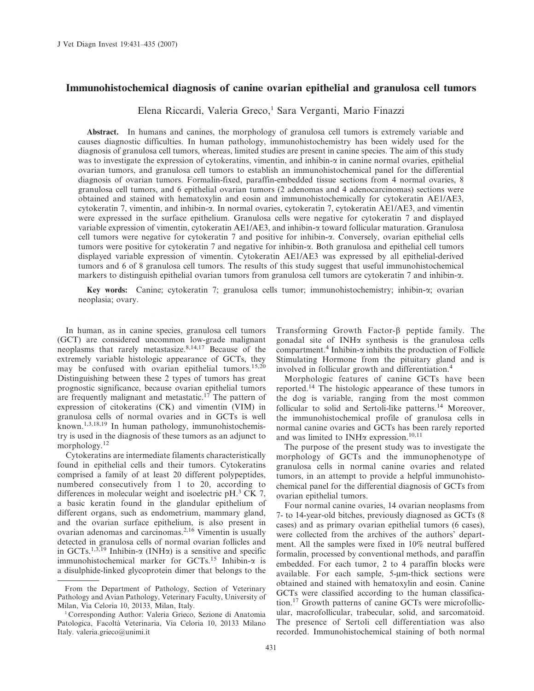## Immunohistochemical diagnosis of canine ovarian epithelial and granulosa cell tumors

Elena Riccardi, Valeria Greco,<sup>1</sup> Sara Verganti, Mario Finazzi

Abstract. In humans and canines, the morphology of granulosa cell tumors is extremely variable and causes diagnostic difficulties. In human pathology, immunohistochemistry has been widely used for the diagnosis of granulosa cell tumors, whereas, limited studies are present in canine species. The aim of this study was to investigate the expression of cytokeratins, vimentin, and inhibin- $\alpha$  in canine normal ovaries, epithelial ovarian tumors, and granulosa cell tumors to establish an immunohistochemical panel for the differential diagnosis of ovarian tumors. Formalin-fixed, paraffin-embedded tissue sections from 4 normal ovaries, 8 granulosa cell tumors, and 6 epithelial ovarian tumors (2 adenomas and 4 adenocarcinomas) sections were obtained and stained with hematoxylin and eosin and immunohistochemically for cytokeratin AE1/AE3, cytokeratin 7, vimentin, and inhibin-a. In normal ovaries, cytokeratin 7, cytokeratin AE1/AE3, and vimentin were expressed in the surface epithelium. Granulosa cells were negative for cytokeratin 7 and displayed variable expression of vimentin, cytokeratin AE1/AE3, and inhibin-a toward follicular maturation. Granulosa cell tumors were negative for cytokeratin 7 and positive for inhibin-a. Conversely, ovarian epithelial cells tumors were positive for cytokeratin 7 and negative for inhibin-a. Both granulosa and epithelial cell tumors displayed variable expression of vimentin. Cytokeratin AE1/AE3 was expressed by all epithelial-derived tumors and 6 of 8 granulosa cell tumors. The results of this study suggest that useful immunohistochemical markers to distinguish epithelial ovarian tumors from granulosa cell tumors are cytokeratin 7 and inhibin-a.

Key words: Canine; cytokeratin 7; granulosa cells tumor; immunohistochemistry; inhibin-a; ovarian neoplasia; ovary.

In human, as in canine species, granulosa cell tumors (GCT) are considered uncommon low-grade malignant neoplasms that rarely metastasize. $8,14,17$  Because of the extremely variable histologic appearance of GCTs, they may be confused with ovarian epithelial tumors.<sup>15,20</sup> Distinguishing between these 2 types of tumors has great prognostic significance, because ovarian epithelial tumors are frequently malignant and metastatic.<sup>17</sup> The pattern of expression of citokeratins (CK) and vimentin (VIM) in granulosa cells of normal ovaries and in GCTs is well known.1,3,18,19 In human pathology, immunohistochemistry is used in the diagnosis of these tumors as an adjunct to morphology.12

Cytokeratins are intermediate filaments characteristically found in epithelial cells and their tumors. Cytokeratins comprised a family of at least 20 different polypeptides, numbered consecutively from 1 to 20, according to differences in molecular weight and isoelectric pH.<sup>3</sup> CK 7, a basic keratin found in the glandular epithelium of different organs, such as endometrium, mammary gland, and the ovarian surface epithelium, is also present in ovarian adenomas and carcinomas.2,16 Vimentin is usually detected in granulosa cells of normal ovarian follicles and in GCTs.<sup>1,3,19</sup> Inhibin- $\alpha$  (INH $\alpha$ ) is a sensitive and specific immunohistochemical marker for GCTs.<sup>15</sup> Inhibin- $\alpha$  is a disulphide-linked glycoprotein dimer that belongs to the Transforming Growth Factor- $\beta$  peptide family. The gonadal site of INHa synthesis is the granulosa cells compartment.<sup>4</sup> Inhibin- $\alpha$  inhibits the production of Follicle Stimulating Hormone from the pituitary gland and is involved in follicular growth and differentiation.<sup>4</sup>

Morphologic features of canine GCTs have been reported.<sup>14</sup> The histologic appearance of these tumors in the dog is variable, ranging from the most common follicular to solid and Sertoli-like patterns.<sup>14</sup> Moreover, the immunohistochemical profile of granulosa cells in normal canine ovaries and GCTs has been rarely reported and was limited to INH $\alpha$  expression.<sup>10,11</sup>

The purpose of the present study was to investigate the morphology of GCTs and the immunophenotype of granulosa cells in normal canine ovaries and related tumors, in an attempt to provide a helpful immunohistochemical panel for the differential diagnosis of GCTs from ovarian epithelial tumors.

Four normal canine ovaries, 14 ovarian neoplasms from 7- to 14-year-old bitches, previously diagnosed as GCTs (8 cases) and as primary ovarian epithelial tumors (6 cases), were collected from the archives of the authors' department. All the samples were fixed in 10% neutral buffered formalin, processed by conventional methods, and paraffin embedded. For each tumor, 2 to 4 paraffin blocks were available. For each sample, 5-um-thick sections were obtained and stained with hematoxylin and eosin. Canine GCTs were classified according to the human classification.17 Growth patterns of canine GCTs were microfollicular, macrofollicular, trabecular, solid, and sarcomatoid. The presence of Sertoli cell differentiation was also recorded. Immunohistochemical staining of both normal

From the Department of Pathology, Section of Veterinary Pathology and Avian Pathology, Veterinary Faculty, University of Milan, Via Celoria 10, 20133, Milan, Italy.

<sup>&</sup>lt;sup>1</sup> Corresponding Author: Valeria Grieco, Sezione di Anatomia Patologica, Facoltà Veterinaria, Via Celoria 10, 20133 Milano Italy. valeria.grieco@unimi.it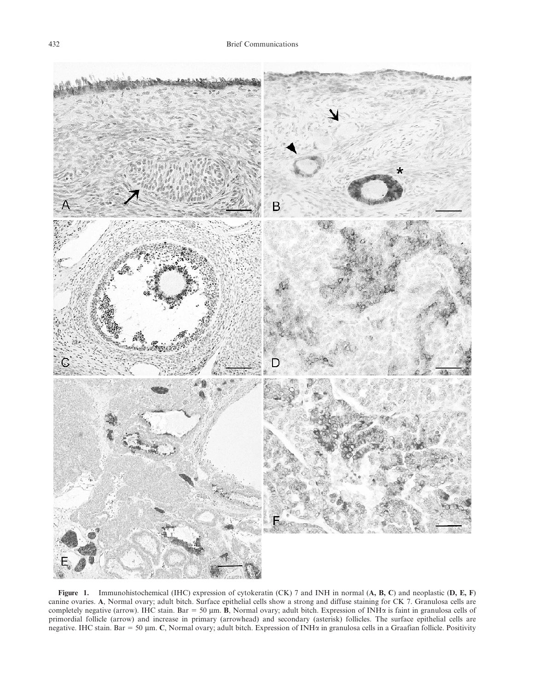

Figure 1. Immunohistochemical (IHC) expression of cytokeratin (CK) 7 and INH in normal (A, B, C) and neoplastic (D, E, F) canine ovaries. A, Normal ovary; adult bitch. Surface epithelial cells show a strong and diffuse staining for CK 7. Granulosa cells are completely negative (arrow). IHC stain. Bar = 50  $\mu$ m. B, Normal ovary; adult bitch. Expression of INH $\alpha$  is faint in granulosa cells of primordial follicle (arrow) and increase in primary (arrowhead) and secondary (asterisk) follicles. The surface epithelial cells are negative. IHC stain. Bar = 50  $\mu$ m. C, Normal ovary; adult bitch. Expression of INH $\alpha$  in granulosa cells in a Graafian follicle. Positivity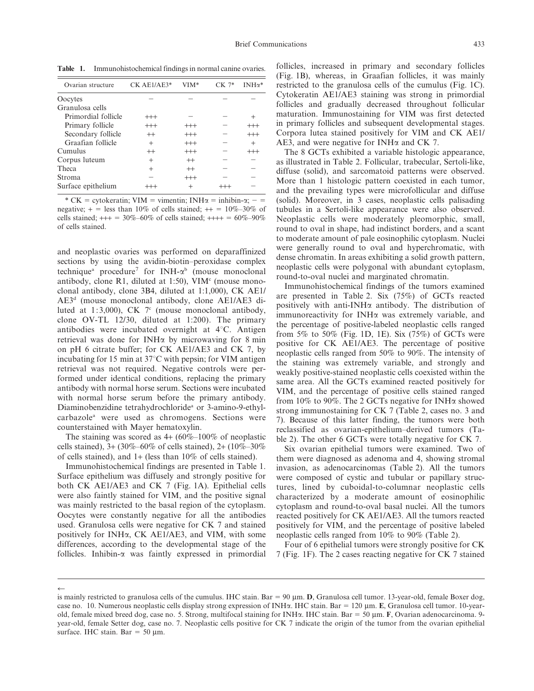Table 1. Immunohistochemical findings in normal canine ovaries.

| Ovarian structure   | $CK$ AE1/AE3*  | $VIM*$   | $CK 7*$ | $INH\alpha^*$ |
|---------------------|----------------|----------|---------|---------------|
| Oocytes             |                |          |         |               |
| Granulosa cells     |                |          |         |               |
| Primordial follicle | $^{+++}$       |          |         | ٠             |
| Primary follicle    | $^{+++}$       | $^{+++}$ |         | $^{+++}$      |
| Secondary follicle  | $^{++}$        | $^{+++}$ |         | $^{+++}$      |
| Graafian follicle   | $\overline{+}$ | $^{+++}$ |         | $^{+}$        |
| Cumulus             | $^{++}$        | $^{+++}$ |         | $^{+++}$      |
| Corpus luteum       | $\overline{+}$ | $^{++}$  |         |               |
| <b>Theca</b>        | $\overline{+}$ | $^{++}$  |         |               |
| <b>Stroma</b>       |                | $^{+++}$ |         |               |
| Surface epithelium  |                | $^{+}$   |         |               |

\* CK = cytokeratin; VIM = vimentin; INH $\alpha$  = inhibin- $\alpha$ ; - = negative;  $+$  = less than 10% of cells stained;  $++$  = 10%–30% of cells stained;  $++ = 30\% - 60\%$  of cells stained;  $++++ = 60\% - 90\%$ of cells stained.

and neoplastic ovaries was performed on deparaffinized sections by using the avidin-biotin–peroxidase complex technique<sup>a</sup> procedure<sup>7</sup> for INH- $\alpha$ <sup>b</sup> (mouse monoclonal antibody, clone R1, diluted at 1:50), VIM $\text{°(}$  (mouse monoclonal antibody, clone 3B4, diluted at 1:1,000), CK AE1/ AE3d (mouse monoclonal antibody, clone AE1/AE3 diluted at 1:3,000), CK  $7<sup>c</sup>$  (mouse monoclonal antibody, clone OV-TL 12/30, diluted at 1:200). The primary antibodies were incubated overnight at  $4^{\circ}$ C. Antigen retrieval was done for INHa by microwaving for 8 min on pH 6 citrate buffer; for CK AE1/AE3 and CK 7, by incubating for 15 min at  $37^{\circ}$ C with pepsin; for VIM antigen retrieval was not required. Negative controls were performed under identical conditions, replacing the primary antibody with normal horse serum. Sections were incubated with normal horse serum before the primary antibody. Diaminobenzidine tetrahydrochloridea or 3-amino-9-ethylcarbazolea were used as chromogens. Sections were counterstained with Mayer hematoxylin.

The staining was scored as  $4+ (60\% - 100\% \text{ of nep})$ cells stained),  $3 + (30\% - 60\% \text{ of cells stained})$ ,  $2 + (10\% - 30\% \text{ of cells})$ of cells stained), and 1+ (less than 10% of cells stained).

Immunohistochemical findings are presented in Table 1. Surface epithelium was diffusely and strongly positive for both CK AE1/AE3 and CK 7 (Fig. 1A). Epithelial cells were also faintly stained for VIM, and the positive signal was mainly restricted to the basal region of the cytoplasm. Oocytes were constantly negative for all the antibodies used. Granulosa cells were negative for CK 7 and stained positively for INHa, CK AE1/AE3, and VIM, with some differences, according to the developmental stage of the follicles. Inhibin- $\alpha$  was faintly expressed in primordial follicles, increased in primary and secondary follicles (Fig. 1B), whereas, in Graafian follicles, it was mainly restricted to the granulosa cells of the cumulus (Fig. 1C). Cytokeratin AE1/AE3 staining was strong in primordial follicles and gradually decreased throughout follicular maturation. Immunostaining for VIM was first detected in primary follicles and subsequent developmental stages. Corpora lutea stained positively for VIM and CK AE1/ AE3, and were negative for INH $\alpha$  and CK 7.

The 8 GCTs exhibited a variable histologic appearance, as illustrated in Table 2. Follicular, trabecular, Sertoli-like, diffuse (solid), and sarcomatoid patterns were observed. More than 1 histologic pattern coexisted in each tumor, and the prevailing types were microfollicular and diffuse (solid). Moreover, in 3 cases, neoplastic cells palisading tubules in a Sertoli-like appearance were also observed. Neoplastic cells were moderately pleomorphic, small, round to oval in shape, had indistinct borders, and a scant to moderate amount of pale eosinophilic cytoplasm. Nuclei were generally round to oval and hyperchromatic, with dense chromatin. In areas exhibiting a solid growth pattern, neoplastic cells were polygonal with abundant cytoplasm, round-to-oval nuclei and marginated chromatin.

Immunohistochemical findings of the tumors examined are presented in Table 2. Six (75%) of GCTs reacted positively with anti-INH $\alpha$  antibody. The distribution of immunoreactivity for INHa was extremely variable, and the percentage of positive-labeled neoplastic cells ranged from 5% to 50% (Fig. 1D, 1E). Six  $(75%)$  of GCTs were positive for CK AE1/AE3. The percentage of positive neoplastic cells ranged from 50% to 90%. The intensity of the staining was extremely variable, and strongly and weakly positive-stained neoplastic cells coexisted within the same area. All the GCTs examined reacted positively for VIM, and the percentage of positive cells stained ranged from 10% to 90%. The 2 GCTs negative for INH $\alpha$  showed strong immunostaining for CK 7 (Table 2, cases no. 3 and 7). Because of this latter finding, the tumors were both reclassified as ovarian-epithelium–derived tumors (Table 2). The other 6 GCTs were totally negative for CK 7.

Six ovarian epithelial tumors were examined. Two of them were diagnosed as adenoma and 4, showing stromal invasion, as adenocarcinomas (Table 2). All the tumors were composed of cystic and tubular or papillary structures, lined by cuboidal-to-columnar neoplastic cells characterized by a moderate amount of eosinophilic cytoplasm and round-to-oval basal nuclei. All the tumors reacted positively for CK AE1/AE3. All the tumors reacted positively for VIM, and the percentage of positive labeled neoplastic cells ranged from 10% to 90% (Table 2).

Four of 6 epithelial tumors were strongly positive for CK 7 (Fig. 1F). The 2 cases reacting negative for CK 7 stained

 $\leftarrow$ 

is mainly restricted to granulosa cells of the cumulus. IHC stain. Bar  $= 90 \text{ µm}$ . D, Granulosa cell tumor. 13-year-old, female Boxer dog, case no. 10. Numerous neoplastic cells display strong expression of INH $\alpha$ . IHC stain. Bar = 120 µm. E, Granulosa cell tumor. 10-yearold, female mixed breed dog, case no. 5. Strong, multifocal staining for INH $\alpha$ . IHC stain. Bar = 50 µm. F, Ovarian adenocarcinoma. 9year-old, female Setter dog, case no. 7. Neoplastic cells positive for CK 7 indicate the origin of the tumor from the ovarian epithelial surface. IHC stain. Bar =  $50 \mu m$ .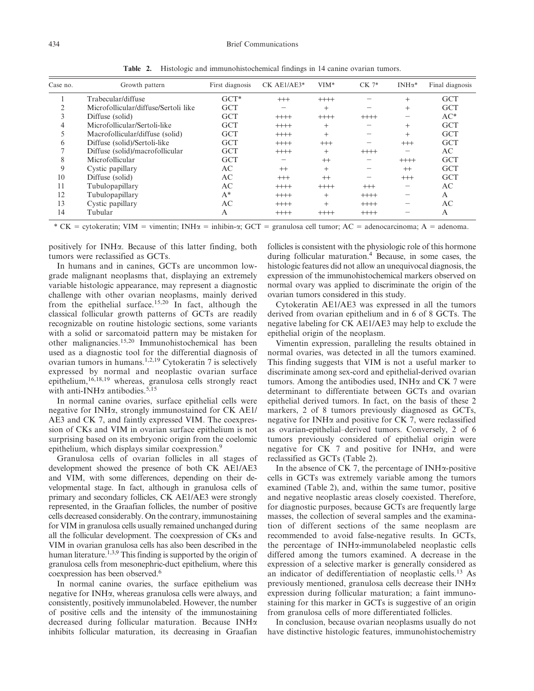| Case no. | Growth pattern                       | First diagnosis | $CK$ AE1/AE3* | $VIM*$  | $CK 7*$  | $INH\alpha^*$ | Final diagnosis |
|----------|--------------------------------------|-----------------|---------------|---------|----------|---------------|-----------------|
|          | Trabecular/diffuse                   | $GCT*$          | $^{+++}$      | $+++++$ |          | $^{+}$        | <b>GCT</b>      |
|          | Microfollicular/diffuse/Sertoli like | <b>GCT</b>      |               | $^{+}$  |          | $^{+}$        | <b>GCT</b>      |
|          | Diffuse (solid)                      | <b>GCT</b>      | $++++$        | $+++++$ | $++++$   |               | $AC*$           |
| 4        | Microfollicular/Sertoli-like         | <b>GCT</b>      | $++++$        | $^{+}$  |          | $^{+}$        | <b>GCT</b>      |
|          | Macrofollicular/diffuse (solid)      | <b>GCT</b>      | $+++++$       | $^{+}$  |          | $^{+}$        | <b>GCT</b>      |
| 6        | Diffuse (solid)/Sertoli-like         | <b>GCT</b>      | $++++$        | $++$    |          | $^{+++}$      | <b>GCT</b>      |
|          | Diffuse (solid)/macrofollicular      | <b>GCT</b>      | $++++$        | $^{+}$  | $++++$   |               | AC              |
| 8        | Microfollicular                      | <b>GCT</b>      |               | $^{++}$ |          | $++++$        | <b>GCT</b>      |
| 9        | Cystic papillary                     | AC              | $^{++}$       | $^{+}$  |          | $^{++}$       | <b>GCT</b>      |
| 10       | Diffuse (solid)                      | AC              | $^{+++}$      | $^{++}$ |          | $^{+++}$      | <b>GCT</b>      |
| 11       | Tubulopapillary                      | AC              | $++++$        | $+++++$ | $^{+++}$ |               | AC              |
| 12       | Tubulopapillary                      | $A^*$           | $++++$        | $^{+}$  | $++++$   |               | A               |
| 13       | Cystic papillary                     | AC              | $++++$        | $^{+}$  | $++++$   |               | AC              |
| 14       | Tubular                              | Α               | $++++$        | $++++$  | $++++$   |               | A               |

Table 2. Histologic and immunohistochemical findings in 14 canine ovarian tumors.

\* CK = cytokeratin; VIM = vimentin; INH $\alpha$  = inhibin- $\alpha$ ; GCT = granulosa cell tumor; AC = adenocarcinoma; A = adenoma.

positively for INHa. Because of this latter finding, both tumors were reclassified as GCTs.

In humans and in canines, GCTs are uncommon lowgrade malignant neoplasms that, displaying an extremely variable histologic appearance, may represent a diagnostic challenge with other ovarian neoplasms, mainly derived from the epithelial surface.15,20 In fact, although the classical follicular growth patterns of GCTs are readily recognizable on routine histologic sections, some variants with a solid or sarcomatoid pattern may be mistaken for other malignancies.15,20 Immunohistochemical has been used as a diagnostic tool for the differential diagnosis of ovarian tumors in humans.1,2,19 Cytokeratin 7 is selectively expressed by normal and neoplastic ovarian surface epithelium,16,18,19 whereas, granulosa cells strongly react with anti-INH $\alpha$  antibodies.<sup>5,15</sup>

In normal canine ovaries, surface epithelial cells were negative for INHa, strongly immunostained for CK AE1/ AE3 and CK 7, and faintly expressed VIM. The coexpression of CKs and VIM in ovarian surface epithelium is not surprising based on its embryonic origin from the coelomic epithelium, which displays similar coexpression.<sup>9</sup>

Granulosa cells of ovarian follicles in all stages of development showed the presence of both CK AE1/AE3 and VIM, with some differences, depending on their developmental stage. In fact, although in granulosa cells of primary and secondary follicles, CK AE1/AE3 were strongly represented, in the Graafian follicles, the number of positive cells decreased considerably. On the contrary, immunostaining for VIM in granulosa cells usually remained unchanged during all the follicular development. The coexpression of CKs and VIM in ovarian granulosa cells has also been described in the human literature.<sup>1,3,9</sup> This finding is supported by the origin of granulosa cells from mesonephric-duct epithelium, where this coexpression has been observed.6

In normal canine ovaries, the surface epithelium was negative for INHa, whereas granulosa cells were always, and consistently, positively immunolabeled. However, the number of positive cells and the intensity of the immunostaining decreased during follicular maturation. Because INHa inhibits follicular maturation, its decreasing in Graafian

follicles is consistent with the physiologic role of this hormone during follicular maturation.4 Because, in some cases, the histologic features did not allow an unequivocal diagnosis, the expression of the immunohistochemical markers observed on normal ovary was applied to discriminate the origin of the ovarian tumors considered in this study.

Cytokeratin AE1/AE3 was expressed in all the tumors derived from ovarian epithelium and in 6 of 8 GCTs. The negative labeling for CK AE1/AE3 may help to exclude the epithelial origin of the neoplasm.

Vimentin expression, paralleling the results obtained in normal ovaries, was detected in all the tumors examined. This finding suggests that VIM is not a useful marker to discriminate among sex-cord and epithelial-derived ovarian tumors. Among the antibodies used, INH $\alpha$  and CK 7 were determinant to differentiate between GCTs and ovarian epithelial derived tumors. In fact, on the basis of these 2 markers, 2 of 8 tumors previously diagnosed as GCTs, negative for INH $\alpha$  and positive for CK 7, were reclassified as ovarian-epithelial–derived tumors. Conversely, 2 of 6 tumors previously considered of epithelial origin were negative for CK 7 and positive for INH $\alpha$ , and were reclassified as GCTs (Table 2).

In the absence of CK 7, the percentage of INH $\alpha$ -positive cells in GCTs was extremely variable among the tumors examined (Table 2), and, within the same tumor, positive and negative neoplastic areas closely coexisted. Therefore, for diagnostic purposes, because GCTs are frequently large masses, the collection of several samples and the examination of different sections of the same neoplasm are recommended to avoid false-negative results. In GCTs, the percentage of INHa-immunolabeled neoplastic cells differed among the tumors examined. A decrease in the expression of a selective marker is generally considered as an indicator of dedifferentiation of neoplastic cells.<sup>13</sup> As previously mentioned, granulosa cells decrease their INHa expression during follicular maturation; a faint immunostaining for this marker in GCTs is suggestive of an origin from granulosa cells of more differentiated follicles.

In conclusion, because ovarian neoplasms usually do not have distinctive histologic features, immunohistochemistry